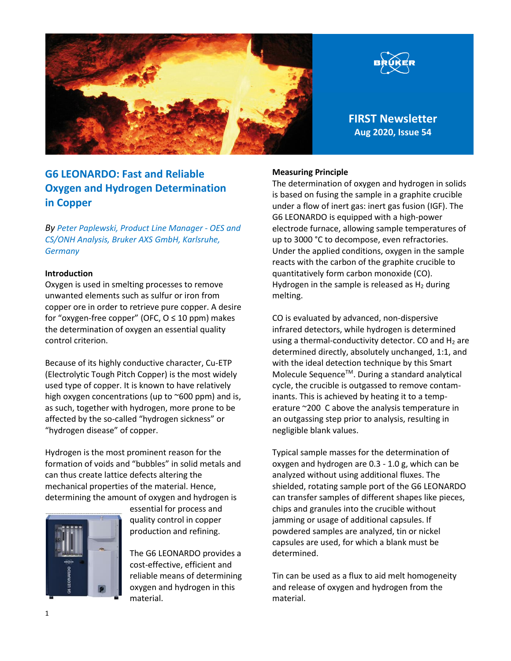



**FIRST Newsletter Aug 2020, Issue 54**

# **G6 LEONARDO: Fast and Reliable Oxygen and Hydrogen Determination in Copper**

*By Peter Paplewski, Product Line Manager - OES and CS/ONH Analysis, Bruker AXS GmbH, Karlsruhe, Germany*

## **Introduction**

Oxygen is used in smelting processes to remove unwanted elements such as sulfur or iron from copper ore in order to retrieve pure copper. A desire for "oxygen-free copper" (OFC,  $O \le 10$  ppm) makes the determination of oxygen an essential quality control criterion.

Because of its highly conductive character, Cu-ETP (Electrolytic Tough Pitch Copper) is the most widely used type of copper. It is known to have relatively high oxygen concentrations (up to  $\sim$ 600 ppm) and is, as such, together with hydrogen, more prone to be affected by the so-called "hydrogen sickness" or "hydrogen disease" of copper.

Hydrogen is the most prominent reason for the formation of voids and "bubbles" in solid metals and can thus create lattice defects altering the mechanical properties of the material. Hence, determining the amount of oxygen and hydrogen is



essential for process and quality control in copper production and refining.

The G6 LEONARDO provides a cost-effective, efficient and reliable means of determining oxygen and hydrogen in this material.

#### **Measuring Principle**

The determination of oxygen and hydrogen in solids is based on fusing the sample in a graphite crucible under a flow of inert gas: inert gas fusion (IGF). The G6 LEONARDO is equipped with a high-power electrode furnace, allowing sample temperatures of up to 3000 °C to decompose, even refractories. Under the applied conditions, oxygen in the sample reacts with the carbon of the graphite crucible to quantitatively form carbon monoxide (CO). Hydrogen in the sample is released as  $H_2$  during melting.

CO is evaluated by advanced, non-dispersive infrared detectors, while hydrogen is determined using a thermal-conductivity detector. CO and  $H_2$  are determined directly, absolutely unchanged, 1:1, and with the ideal detection technique by this Smart Molecule Sequence™. During a standard analytical cycle, the crucible is outgassed to remove contaminants. This is achieved by heating it to a temperature ~200 C above the analysis temperature in an outgassing step prior to analysis, resulting in negligible blank values.

Typical sample masses for the determination of oxygen and hydrogen are 0.3 - 1.0 g, which can be analyzed without using additional fluxes. The shielded, rotating sample port of the G6 LEONARDO can transfer samples of different shapes like pieces, chips and granules into the crucible without jamming or usage of additional capsules. If powdered samples are analyzed, tin or nickel capsules are used, for which a blank must be determined.

Tin can be used as a flux to aid melt homogeneity and release of oxygen and hydrogen from the material.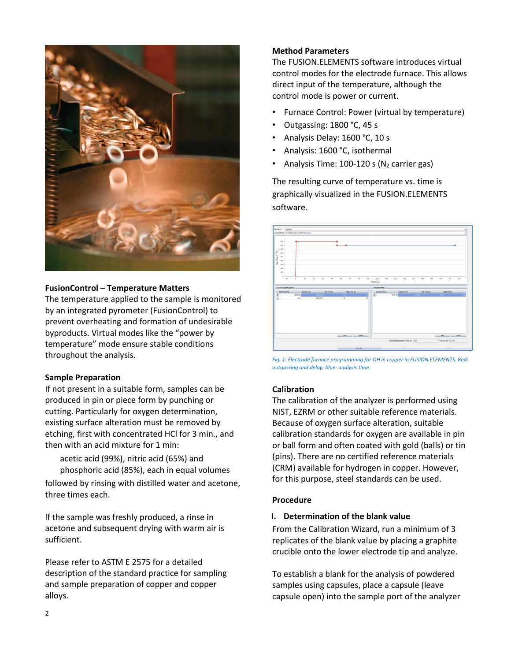

#### **FusionControl – Temperature Matters**

The temperature applied to the sample is monitored by an integrated pyrometer (FusionControl) to prevent overheating and formation of undesirable byproducts. Virtual modes like the "power by temperature" mode ensure stable conditions throughout the analysis.

## **Sample Preparation**

If not present in a suitable form, samples can be produced in pin or piece form by punching or cutting. Particularly for oxygen determination, existing surface alteration must be removed by etching, first with concentrated HCl for 3 min., and then with an acid mixture for 1 min:

acetic acid (99%), nitric acid (65%) and phosphoric acid (85%), each in equal volumes

followed by rinsing with distilled water and acetone, three times each.

If the sample was freshly produced, a rinse in acetone and subsequent drying with warm air is sufficient.

Please refer to ASTM E 2575 for a detailed description of the standard practice for sampling and sample preparation of copper and copper alloys.

#### **Method Parameters**

The FUSION.ELEMENTS software introduces virtual control modes for the electrode furnace. This allows direct input of the temperature, although the control mode is power or current.

- Furnace Control: Power (virtual by temperature)
- Outgassing: 1800 °C, 45 s
- Analysis Delay: 1600 °C, 10 s
- Analysis: 1600 °C, isothermal
- Analysis Time:  $100-120$  s (N<sub>2</sub> carrier gas)

The resulting curve of temperature vs. time is graphically visualized in the FUSION.ELEMENTS software.



*Fig. 1: Electrode furnace programming for OH in copper in FUSION.ELEMENTS. Red: outgassing and delay; blue: analysis time.*

## **Calibration**

The calibration of the analyzer is performed using NIST, EZRM or other suitable reference materials. Because of oxygen surface alteration, suitable calibration standards for oxygen are available in pin or ball form and often coated with gold (balls) or tin (pins). There are no certified reference materials (CRM) available for hydrogen in copper. However, for this purpose, steel standards can be used.

## **Procedure**

#### **I. Determination of the blank value**

From the Calibration Wizard, run a minimum of 3 replicates of the blank value by placing a graphite crucible onto the lower electrode tip and analyze.

To establish a blank for the analysis of powdered samples using capsules, place a capsule (leave capsule open) into the sample port of the analyzer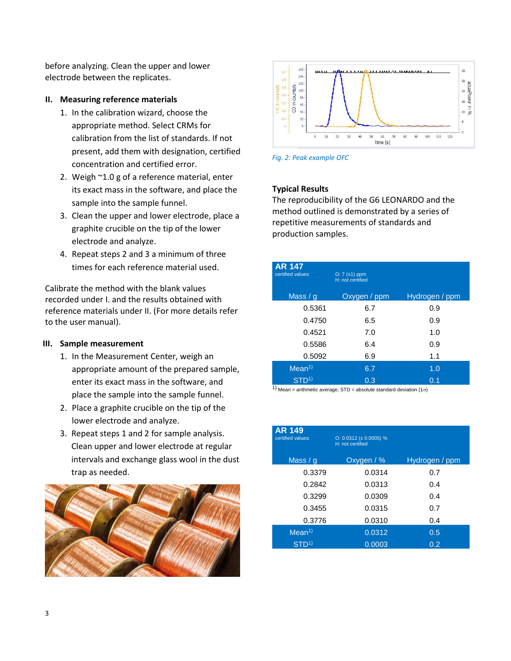before analyzing. Clean the upper and lower electrode between the replicates.

#### **II. Measuring reference materials**

- 1. In the calibration wizard, choose the appropriate method. Select CRMs for calibration from the list of standards. If not present, add them with designation, certified concentration and certified error.
- 2. Weigh ~1.0 g of a reference material, enter its exact mass in the software, and place the sample into the sample funnel.
- 3. Clean the upper and lower electrode, place a graphite crucible on the tip of the lower electrode and analyze.
- 4. Repeat steps 2 and 3 a minimum of three times for each reference material used.

Calibrate the method with the blank values recorded under I. and the results obtained with reference materials under II. (For more details refer to the user manual).

## **III. Sample measurement**

- 1. In the Measurement Center, weigh an appropriate amount of the prepared sample, enter its exact mass in the software, and place the sample into the sample funnel.
- 2. Place a graphite crucible on the tip of the lower electrode and analyze.
- 3. Repeat steps 1 and 2 for sample analysis. Clean upper and lower electrode at regular intervals and exchange glass wool in the dust trap as needed.





*Fig. 2: Peak example OFC*

## **Typical Results**

The reproducibility of the G6 LEONARDO and the method outlined is demonstrated by a series of repetitive measurements of standards and production samples.

| <b>AR 147</b><br>certified values: | $O: 7 (+1)$ ppm<br>H: not certified |                |
|------------------------------------|-------------------------------------|----------------|
| Mass $/g$                          | Oxygen / ppm                        | Hydrogen / ppm |
| 0.5361                             | 6.7                                 | 0.9            |
| 0.4750                             | 6.5                                 | 0.9            |
| 0.4521                             | 7.0                                 | 1.0            |
| 0.5586                             | 6.4                                 | 0.9            |
| 0.5092                             | 6.9                                 | 1.1            |
| Mean <sup>1</sup>                  | 6.7                                 | 1.0            |
| STD <sup>1</sup>                   | 0.3                                 | 0.1            |

1) Mean = arithmetic average; STD = absolute standard deviation  $(1\sigma)$ 

| <b>AR 149</b><br>certified values: | O: $0.0312 \ (\pm 0.0005)$ %<br>H: not certified |                |
|------------------------------------|--------------------------------------------------|----------------|
| Mass $/q$                          | Oxygen / %                                       | Hydrogen / ppm |
| 0.3379                             | 0.0314                                           | 0.7            |
| 0.2842                             | 0.0313                                           | 0.4            |
| 0.3299                             | 0.0309                                           | 0.4            |
| 0.3455                             | 0.0315                                           | 0.7            |
| 0.3776                             | 0.0310                                           | 0.4            |
| Mean <sup>1</sup>                  | 0.0312                                           | 0.5            |
| $STD^{(1)}$                        | 0.0003                                           | 0.2            |